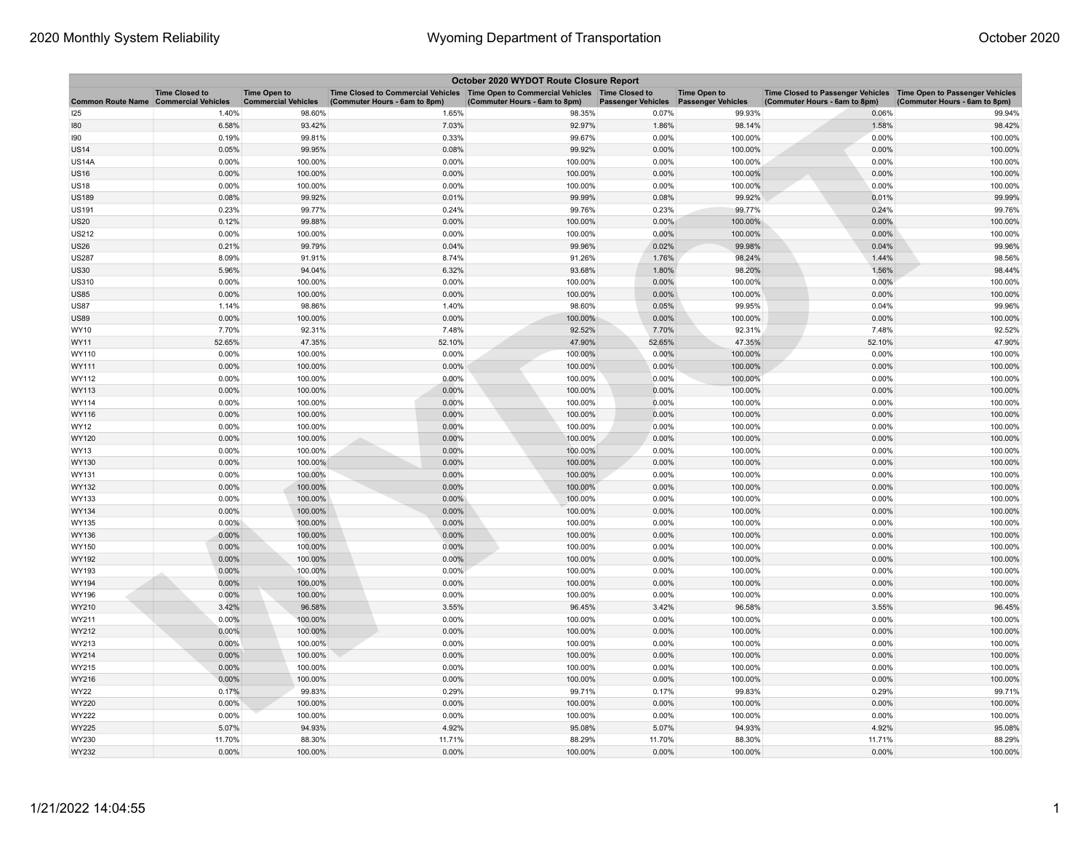| October 2020 WYDOT Route Closure Report      |                       |                                                   |                                                                                                                       |                               |                                       |                     |                                                                                                      |                               |  |
|----------------------------------------------|-----------------------|---------------------------------------------------|-----------------------------------------------------------------------------------------------------------------------|-------------------------------|---------------------------------------|---------------------|------------------------------------------------------------------------------------------------------|-------------------------------|--|
| <b>Common Route Name Commercial Vehicles</b> | <b>Time Closed to</b> | <b>Time Open to</b><br><b>Commercial Vehicles</b> | Time Closed to Commercial Vehicles  Time Open to Commercial Vehicles  Time Closed to<br>(Commuter Hours - 6am to 8pm) | (Commuter Hours - 6am to 8pm) | Passenger Vehicles Passenger Vehicles | <b>Time Open to</b> | Time Closed to Passenger Vehicles   Time Open to Passenger Vehicles<br>(Commuter Hours - 6am to 8pm) | (Commuter Hours - 6am to 8pm) |  |
| 125                                          | 1.40%                 | 98.60%                                            | 1.65%                                                                                                                 | 98.35%                        | 0.07%                                 | 99.93%              | 0.06%                                                                                                | 99.94%                        |  |
| 180                                          | 6.58%                 | 93.42%                                            | 7.03%                                                                                                                 | 92.97%                        | 1.86%                                 | 98.14%              | 1.58%                                                                                                | 98.42%                        |  |
| 190                                          | 0.19%                 | 99.81%                                            | 0.33%                                                                                                                 | 99.67%                        | 0.00%                                 | 100.00%             | 0.00%                                                                                                | 100.00%                       |  |
| <b>US14</b>                                  | 0.05%                 | 99.95%                                            | 0.08%                                                                                                                 | 99.92%                        | 0.00%                                 | 100.00%             | 0.00%                                                                                                | 100.00%                       |  |
| <b>US14A</b>                                 | 0.00%                 | 100.00%                                           | 0.00%                                                                                                                 | 100.00%                       | 0.00%                                 | 100.00%             | 0.00%                                                                                                | 100.00%                       |  |
| <b>US16</b>                                  | 0.00%                 | 100.00%                                           | 0.00%                                                                                                                 | 100.00%                       | 0.00%                                 | 100.00%             | 0.00%                                                                                                | 100.00%                       |  |
| <b>US18</b>                                  | 0.00%                 | 100.00%                                           | 0.00%                                                                                                                 | 100.00%                       | 0.00%                                 | 100.00%             | 0.00%                                                                                                | 100.00%                       |  |
| <b>US189</b>                                 | 0.08%                 | 99.92%                                            | 0.01%                                                                                                                 | 99.99%                        | 0.08%                                 | 99.92%              | 0.01%                                                                                                | 99.99%                        |  |
| <b>US191</b>                                 | 0.23%                 | 99.77%                                            | 0.24%                                                                                                                 | 99.76%                        | 0.23%                                 | 99.77%              | 0.24%                                                                                                | 99.76%                        |  |
| <b>US20</b>                                  | 0.12%                 | 99.88%                                            | 0.00%                                                                                                                 | 100.00%                       | 0.00%                                 | 100.00%             | 0.00%                                                                                                | 100.00%                       |  |
| US212                                        | 0.00%                 | 100.00%                                           | 0.00%                                                                                                                 | 100.00%                       | 0.00%                                 | 100.00%             | 0.00%                                                                                                | 100.00%                       |  |
| <b>US26</b>                                  | 0.21%                 | 99.79%                                            | 0.04%                                                                                                                 | 99.96%                        | 0.02%                                 | 99.98%              | 0.04%                                                                                                | 99.96%                        |  |
| US287                                        | 8.09%                 | 91.91%                                            | 8.74%                                                                                                                 | 91.26%                        | 1.76%                                 | 98.24%              | 1.44%                                                                                                | 98.56%                        |  |
| <b>US30</b>                                  | 5.96%                 | 94.04%                                            | 6.32%                                                                                                                 | 93.68%                        | 1.80%                                 | 98.20%              | 1.56%                                                                                                | 98.44%                        |  |
| <b>US310</b>                                 | 0.00%                 | 100.00%                                           | 0.00%                                                                                                                 | 100.00%                       | 0.00%                                 | 100.00%             | 0.00%                                                                                                | 100.00%                       |  |
| <b>US85</b>                                  | 0.00%                 | 100.00%                                           | 0.00%                                                                                                                 | 100.00%                       | 0.00%                                 | 100.00%             | 0.00%                                                                                                | 100.00%                       |  |
| US87                                         | 1.14%                 | 98.86%                                            | 1.40%                                                                                                                 | 98.60%                        | 0.05%                                 | 99.95%              | 0.04%                                                                                                | 99.96%                        |  |
| <b>US89</b>                                  | 0.00%                 | 100.00%                                           | 0.00%                                                                                                                 | 100.00%                       | 0.00%                                 | 100.00%             | 0.00%                                                                                                | 100.00%                       |  |
| WY10                                         | 7.70%                 | 92.31%                                            | 7.48%                                                                                                                 | 92.52%                        | 7.70%                                 | 92.31%              | 7.48%                                                                                                | 92.52%                        |  |
| WY11                                         | 52.65%                | 47.35%                                            | 52.10%                                                                                                                | 47.90%                        | 52.65%                                | 47.35%              | 52.10%                                                                                               | 47.90%                        |  |
| WY110                                        | 0.00%                 | 100.00%                                           | 0.00%                                                                                                                 | 100.00%                       | 0.00%                                 | 100.00%             | 0.00%                                                                                                | 100.00%                       |  |
| WY111                                        | 0.00%                 | 100.00%                                           | 0.00%                                                                                                                 | 100.00%                       | 0.00%                                 | 100.00%             | 0.00%                                                                                                | 100.00%                       |  |
| WY112                                        | 0.00%                 | 100.00%                                           | 0.00%                                                                                                                 | 100.00%                       | 0.00%                                 | 100.00%             | 0.00%                                                                                                | 100.00%                       |  |
| WY113                                        | 0.00%                 | 100.00%                                           | 0.00%                                                                                                                 | 100.00%                       | 0.00%                                 | 100.00%             | 0.00%                                                                                                | 100.00%                       |  |
| WY114                                        | 0.00%                 | 100.00%                                           | 0.00%                                                                                                                 | 100.00%                       | 0.00%                                 | 100.00%             | 0.00%                                                                                                | 100.00%                       |  |
| WY116                                        | 0.00%                 | 100.00%                                           | 0.00%                                                                                                                 | 100.00%                       | 0.00%                                 | 100.00%             | 0.00%                                                                                                | 100.00%                       |  |
| WY12                                         | 0.00%                 | 100.00%                                           | 0.00%                                                                                                                 | 100.00%                       | 0.00%                                 | 100.00%             | 0.00%                                                                                                | 100.00%                       |  |
| WY120                                        | 0.00%                 | 100.00%                                           | 0.00%                                                                                                                 | 100.00%                       | 0.00%                                 | 100.00%             | 0.00%                                                                                                | 100.00%                       |  |
| WY13                                         | 0.00%                 | 100.00%                                           | 0.00%                                                                                                                 | 100.00%                       | 0.00%                                 | 100.00%             | 0.00%                                                                                                | 100.00%                       |  |
| WY130                                        | 0.00%                 | 100.00%                                           | 0.00%                                                                                                                 | 100.00%                       | 0.00%                                 | 100.00%             | 0.00%                                                                                                | 100.00%                       |  |
| WY131                                        | 0.00%                 | 100.00%                                           | 0.00%                                                                                                                 | 100.00%                       | 0.00%                                 | 100.00%             | 0.00%                                                                                                | 100.00%                       |  |
| WY132                                        | 0.00%                 | 100.00%                                           | 0.00%                                                                                                                 | 100.00%                       | 0.00%                                 | 100.00%             | 0.00%                                                                                                | 100.00%                       |  |
| WY133                                        | 0.00%                 | 100.00%                                           | 0.00%                                                                                                                 | 100.00%                       | 0.00%                                 | 100.00%             | 0.00%                                                                                                | 100.00%                       |  |
| WY134                                        | 0.00%                 | 100.00%                                           | 0.00%                                                                                                                 | 100.00%                       | 0.00%                                 | 100.00%             | 0.00%                                                                                                | 100.00%                       |  |
| WY135                                        | $0.00\%$              | 100.00%                                           | 0.00%                                                                                                                 | 100.00%                       | 0.00%                                 | 100.00%             | 0.00%                                                                                                | 100.00%                       |  |
| WY136                                        | 0.00%                 | 100.00%                                           | 0.00%                                                                                                                 | 100.00%                       | 0.00%                                 | 100.00%             | 0.00%                                                                                                | 100.00%                       |  |
| WY150                                        | 0.00%                 | 100.00%                                           | 0.00%                                                                                                                 | 100.00%                       | 0.00%                                 | 100.00%             | 0.00%                                                                                                | 100.00%                       |  |
| WY192                                        | 0.00%                 | 100.00%                                           | 0.00%                                                                                                                 | 100.00%                       | 0.00%                                 | 100.00%             | 0.00%                                                                                                | 100.00%                       |  |
| WY193                                        | 0.00%                 | 100.00%                                           | 0.00%                                                                                                                 | 100.00%                       | 0.00%                                 | 100.00%             | 0.00%                                                                                                | 100.00%                       |  |
| WY194                                        | 0.00%                 | 100.00%                                           | 0.00%                                                                                                                 | 100.00%                       | 0.00%                                 | 100.00%             | 0.00%                                                                                                | 100.00%                       |  |
| WY196                                        | 0.00%                 | 100.00%                                           | 0.00%                                                                                                                 | 100.00%                       | 0.00%                                 | 100.00%             | 0.00%                                                                                                | 100.00%                       |  |
| WY210                                        | 3.42%                 | 96.58%                                            | 3.55%                                                                                                                 | 96.45%                        | 3.42%                                 | 96.58%              | 3.55%                                                                                                | 96.45%                        |  |
| WY211                                        | 0.00%                 | 100.00%                                           | 0.00%                                                                                                                 | 100.00%                       | 0.00%                                 | 100.00%             | 0.00%                                                                                                | 100.00%                       |  |
| WY212                                        | 0.00%                 | 100.00%                                           | 0.00%                                                                                                                 | 100.00%                       | 0.00%                                 | 100.00%             | 0.00%                                                                                                | 100.00%                       |  |
| WY213                                        | 0.00%                 | 100.00%                                           | 0.00%                                                                                                                 | 100.00%                       | 0.00%                                 | 100.00%             | 0.00%                                                                                                | 100.00%                       |  |
| WY214                                        | 0.00%                 | 100.00%                                           | 0.00%                                                                                                                 | 100.00%                       | 0.00%                                 | 100.00%             | 0.00%                                                                                                | 100.00%                       |  |
| WY215                                        | 0.00%                 | 100.00%                                           | 0.00%                                                                                                                 | 100.00%                       | 0.00%                                 | 100.00%             | 0.00%                                                                                                | 100.00%                       |  |
| WY216                                        | 0.00%                 | 100.00%                                           | 0.00%                                                                                                                 | 100.00%                       | 0.00%                                 | 100.00%             | 0.00%                                                                                                | 100.00%                       |  |
| WY22                                         | 0.17%                 | 99.83%                                            | 0.29%                                                                                                                 | 99.71%                        | 0.17%                                 | 99.83%              | 0.29%                                                                                                | 99.71%                        |  |
| WY220                                        | 0.00%                 | 100.00%                                           | 0.00%                                                                                                                 | 100.00%                       | 0.00%                                 | 100.00%             | 0.00%                                                                                                | 100.00%                       |  |
| WY222                                        | 0.00%                 | 100.00%                                           | 0.00%                                                                                                                 | 100.00%                       | 0.00%                                 | 100.00%             | 0.00%                                                                                                | 100.00%                       |  |
| WY225                                        | 5.07%                 | 94.93%                                            | 4.92%                                                                                                                 | 95.08%                        | 5.07%                                 | 94.93%              | 4.92%                                                                                                | 95.08%                        |  |
| WY230                                        | 11.70%                | 88.30%                                            | 11.71%                                                                                                                | 88.29%                        | 11.70%                                | 88.30%              | 11.71%                                                                                               | 88.29%                        |  |
| WY232                                        | 0.00%                 | 100.00%                                           | 0.00%                                                                                                                 | 100.00%                       | 0.00%                                 | 100.00%             | 0.00%                                                                                                | 100.00%                       |  |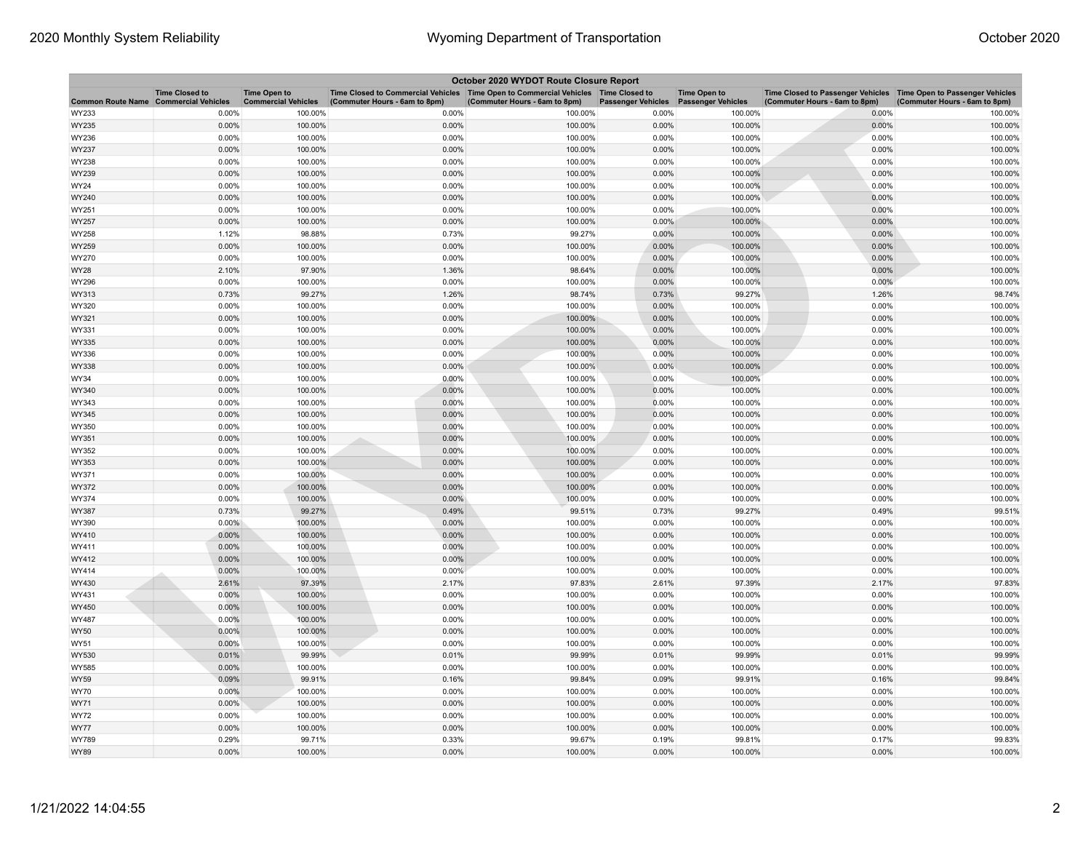| October 2020 WYDOT Route Closure Report |                       |                                                   |                                                                                                                       |                               |                           |                                                  |                                                                                                    |                               |  |
|-----------------------------------------|-----------------------|---------------------------------------------------|-----------------------------------------------------------------------------------------------------------------------|-------------------------------|---------------------------|--------------------------------------------------|----------------------------------------------------------------------------------------------------|-------------------------------|--|
| Common Route Name Commercial Vehicles   | <b>Time Closed to</b> | <b>Time Open to</b><br><b>Commercial Vehicles</b> | Time Closed to Commercial Vehicles  Time Open to Commercial Vehicles  Time Closed to<br>(Commuter Hours - 6am to 8pm) | (Commuter Hours - 6am to 8pm) | <b>Passenger Vehicles</b> | <b>Time Open to</b><br><b>Passenger Vehicles</b> | Time Closed to Passenger Vehicles Time Open to Passenger Vehicles<br>(Commuter Hours - 6am to 8pm) | (Commuter Hours - 6am to 8pm) |  |
| WY233                                   | 0.00%                 | 100.00%                                           | 0.00%                                                                                                                 | 100.00%                       | 0.00%                     | 100.00%                                          | 0.00%                                                                                              | 100.00%                       |  |
| WY235                                   | 0.00%                 | 100.00%                                           | 0.00%                                                                                                                 | 100.00%                       | 0.00%                     | 100.00%                                          | 0.00%                                                                                              | 100.00%                       |  |
| WY236                                   | 0.00%                 | 100.00%                                           | 0.00%                                                                                                                 | 100.00%                       | 0.00%                     | 100.00%                                          | 0.00%                                                                                              | 100.00%                       |  |
| WY237                                   | 0.00%                 | 100.00%                                           | 0.00%                                                                                                                 | 100.00%                       | 0.00%                     | 100.00%                                          | 0.00%                                                                                              | 100.00%                       |  |
| WY238                                   | 0.00%                 | 100.00%                                           | 0.00%                                                                                                                 | 100.00%                       | 0.00%                     | 100.00%                                          | 0.00%                                                                                              | 100.00%                       |  |
| WY239                                   | 0.00%                 | 100.00%                                           | 0.00%                                                                                                                 | 100.00%                       | 0.00%                     | 100.00%                                          | 0.00%                                                                                              | 100.00%                       |  |
| WY24                                    | 0.00%                 | 100.00%                                           | 0.00%                                                                                                                 | 100.00%                       | 0.00%                     | 100.00%                                          | 0.00%                                                                                              | 100.00%                       |  |
| WY240                                   | 0.00%                 | 100.00%                                           | 0.00%                                                                                                                 | 100.00%                       | 0.00%                     | 100.00%                                          | 0.00%                                                                                              | 100.00%                       |  |
| WY251                                   | 0.00%                 | 100.00%                                           | 0.00%                                                                                                                 | 100.00%                       | 0.00%                     | 100.00%                                          | 0.00%                                                                                              | 100.00%                       |  |
| WY257                                   | 0.00%                 | 100.00%                                           | 0.00%                                                                                                                 | 100.00%                       | 0.00%                     | 100.00%                                          | 0.00%                                                                                              | 100.00%                       |  |
| WY258                                   | 1.12%                 | 98.88%                                            | 0.73%                                                                                                                 | 99.27%                        | 0.00%                     | 100.00%                                          | 0.00%                                                                                              | 100.00%                       |  |
| WY259                                   | 0.00%                 | 100.00%                                           | 0.00%                                                                                                                 | 100.00%                       | 0.00%                     | 100.00%                                          | 0.00%                                                                                              | 100.00%                       |  |
| WY270                                   | 0.00%                 | 100.00%                                           | 0.00%                                                                                                                 | 100.00%                       | 0.00%                     | 100.00%                                          | 0.00%                                                                                              | 100.00%                       |  |
| WY28                                    | 2.10%                 | 97.90%                                            | 1.36%                                                                                                                 | 98.64%                        | 0.00%                     | 100.00%                                          | 0.00%                                                                                              | 100.00%                       |  |
| WY296                                   | 0.00%                 | 100.00%                                           | 0.00%                                                                                                                 | 100.00%                       | 0.00%                     | 100.00%                                          | 0.00%                                                                                              | 100.00%                       |  |
| WY313                                   | 0.73%                 | 99.27%                                            | 1.26%                                                                                                                 | 98.74%                        | 0.73%                     | 99.27%                                           | 1.26%                                                                                              | 98.74%                        |  |
| WY320                                   | 0.00%                 | 100.00%                                           | 0.00%                                                                                                                 | 100.00%                       | 0.00%                     | 100.00%                                          | 0.00%                                                                                              | 100.00%                       |  |
| WY321                                   | 0.00%                 | 100.00%                                           | 0.00%                                                                                                                 | 100.00%                       | 0.00%                     | 100.00%                                          | 0.00%                                                                                              | 100.00%                       |  |
| WY331                                   | 0.00%                 | 100.00%                                           | 0.00%                                                                                                                 | 100.00%                       | 0.00%                     | 100.00%                                          | 0.00%                                                                                              | 100.00%                       |  |
| WY335                                   | 0.00%                 | 100.00%                                           | 0.00%                                                                                                                 | 100.00%                       | 0.00%                     | 100.00%                                          | 0.00%                                                                                              | 100.00%                       |  |
| WY336                                   | 0.00%                 | 100.00%                                           | 0.00%                                                                                                                 | 100.00%                       | 0.00%                     | 100.00%                                          | 0.00%                                                                                              | 100.00%                       |  |
| WY338                                   | 0.00%                 | 100.00%                                           | 0.00%                                                                                                                 | 100.00%                       | 0.00%                     | 100.00%                                          | 0.00%                                                                                              | 100.00%                       |  |
| WY34                                    | 0.00%                 | 100.00%                                           | 0.00%                                                                                                                 | 100.00%                       | 0.00%                     | 100.00%                                          | 0.00%                                                                                              | 100.00%                       |  |
| WY340                                   | 0.00%                 | 100.00%                                           | 0.00%                                                                                                                 | 100.00%                       | 0.00%                     | 100.00%                                          | 0.00%                                                                                              | 100.00%                       |  |
| WY343                                   | 0.00%                 | 100.00%                                           | 0.00%                                                                                                                 | 100.00%                       | 0.00%                     | 100.00%                                          | 0.00%                                                                                              | 100.00%                       |  |
| WY345                                   | 0.00%                 | 100.00%                                           | 0.00%                                                                                                                 | 100.00%                       | 0.00%                     | 100.00%                                          | 0.00%                                                                                              | 100.00%                       |  |
| WY350                                   | 0.00%<br>0.00%        | 100.00%                                           | 0.00%<br>0.00%                                                                                                        | 100.00%                       | 0.00%<br>0.00%            | 100.00%<br>100.00%                               | 0.00%<br>0.00%                                                                                     | 100.00%<br>100.00%            |  |
| WY351                                   | 0.00%                 | 100.00%<br>100.00%                                | 0.00%                                                                                                                 | 100.00%<br>100.00%            | 0.00%                     | 100.00%                                          | 0.00%                                                                                              | 100.00%                       |  |
| WY352<br>WY353                          | 0.00%                 | 100.00%                                           | 0.00%                                                                                                                 | 100.00%                       | 0.00%                     | 100.00%                                          | 0.00%                                                                                              | 100.00%                       |  |
| WY371                                   | 0.00%                 | 100.00%                                           | 0.00%                                                                                                                 | 100.00%                       | 0.00%                     | 100.00%                                          | 0.00%                                                                                              | 100.00%                       |  |
| WY372                                   | 0.00%                 | 100.00%                                           | 0.00%                                                                                                                 | 100.00%                       | 0.00%                     | 100.00%                                          | 0.00%                                                                                              | 100.00%                       |  |
| WY374                                   | 0.00%                 | 100.00%                                           | 0.00%                                                                                                                 | 100.00%                       | 0.00%                     | 100.00%                                          | 0.00%                                                                                              | 100.00%                       |  |
| WY387                                   | 0.73%                 | 99.27%                                            | 0.49%                                                                                                                 | 99.51%                        | 0.73%                     | 99.27%                                           | 0.49%                                                                                              | 99.51%                        |  |
| WY390                                   | $0.00\%$              | 100.00%                                           | 0.00%                                                                                                                 | 100.00%                       | 0.00%                     | 100.00%                                          | 0.00%                                                                                              | 100.00%                       |  |
| WY410                                   | 0.00%                 | 100.00%                                           | 0.00%                                                                                                                 | 100.00%                       | 0.00%                     | 100.00%                                          | 0.00%                                                                                              | 100.00%                       |  |
| WY411                                   | 0.00%                 | 100.00%                                           | 0.00%                                                                                                                 | 100.00%                       | 0.00%                     | 100.00%                                          | 0.00%                                                                                              | 100.00%                       |  |
| WY412                                   | 0.00%                 | 100.00%                                           | 0.00%                                                                                                                 | 100.00%                       | 0.00%                     | 100.00%                                          | 0.00%                                                                                              | 100.00%                       |  |
| WY414                                   | 0.00%                 | 100.00%                                           | 0.00%                                                                                                                 | 100.00%                       | 0.00%                     | 100.00%                                          | 0.00%                                                                                              | 100.00%                       |  |
| WY430                                   | 2.61%                 | 97.39%                                            | 2.17%                                                                                                                 | 97.83%                        | 2.61%                     | 97.39%                                           | 2.17%                                                                                              | 97.83%                        |  |
| WY431                                   | 0.00%                 | 100.00%                                           | 0.00%                                                                                                                 | 100.00%                       | 0.00%                     | 100.00%                                          | 0.00%                                                                                              | 100.00%                       |  |
| WY450                                   | 0.00%                 | 100.00%                                           | 0.00%                                                                                                                 | 100.00%                       | 0.00%                     | 100.00%                                          | 0.00%                                                                                              | 100.00%                       |  |
| WY487                                   | 0.00%                 | 100.00%                                           | 0.00%                                                                                                                 | 100.00%                       | 0.00%                     | 100.00%                                          | 0.00%                                                                                              | 100.00%                       |  |
| WY50                                    | 0.00%                 | 100.00%                                           | 0.00%                                                                                                                 | 100.00%                       | 0.00%                     | 100.00%                                          | 0.00%                                                                                              | 100.00%                       |  |
| WY51                                    | 0.00%                 | 100.00%                                           | 0.00%                                                                                                                 | 100.00%                       | 0.00%                     | 100.00%                                          | 0.00%                                                                                              | 100.00%                       |  |
| WY530                                   | 0.01%                 | 99.99%                                            | 0.01%                                                                                                                 | 99.99%                        | 0.01%                     | 99.99%                                           | 0.01%                                                                                              | 99.99%                        |  |
| WY585                                   | 0.00%                 | 100.00%                                           | 0.00%                                                                                                                 | 100.00%                       | 0.00%                     | 100.00%                                          | 0.00%                                                                                              | 100.00%                       |  |
| WY59                                    | 0.09%                 | 99.91%                                            | 0.16%                                                                                                                 | 99.84%                        | 0.09%                     | 99.91%                                           | 0.16%                                                                                              | 99.84%                        |  |
| WY70                                    | 0.00%                 | 100.00%                                           | 0.00%                                                                                                                 | 100.00%                       | 0.00%                     | 100.00%                                          | 0.00%                                                                                              | 100.00%                       |  |
| WY71                                    | 0.00%                 | 100.00%                                           | 0.00%                                                                                                                 | 100.00%                       | 0.00%                     | 100.00%                                          | 0.00%                                                                                              | 100.00%                       |  |
| WY72                                    | 0.00%                 | 100.00%                                           | 0.00%                                                                                                                 | 100.00%                       | 0.00%                     | 100.00%                                          | 0.00%                                                                                              | 100.00%                       |  |
| WY77                                    | 0.00%                 | 100.00%                                           | 0.00%                                                                                                                 | 100.00%                       | 0.00%                     | 100.00%                                          | 0.00%                                                                                              | 100.00%                       |  |
| WY789                                   | 0.29%                 | 99.71%                                            | 0.33%                                                                                                                 | 99.67%                        | 0.19%                     | 99.81%                                           | 0.17%                                                                                              | 99.83%                        |  |
| WY89                                    | 0.00%                 | 100.00%                                           | 0.00%                                                                                                                 | 100.00%                       | 0.00%                     | 100.00%                                          | 0.00%                                                                                              | 100.00%                       |  |